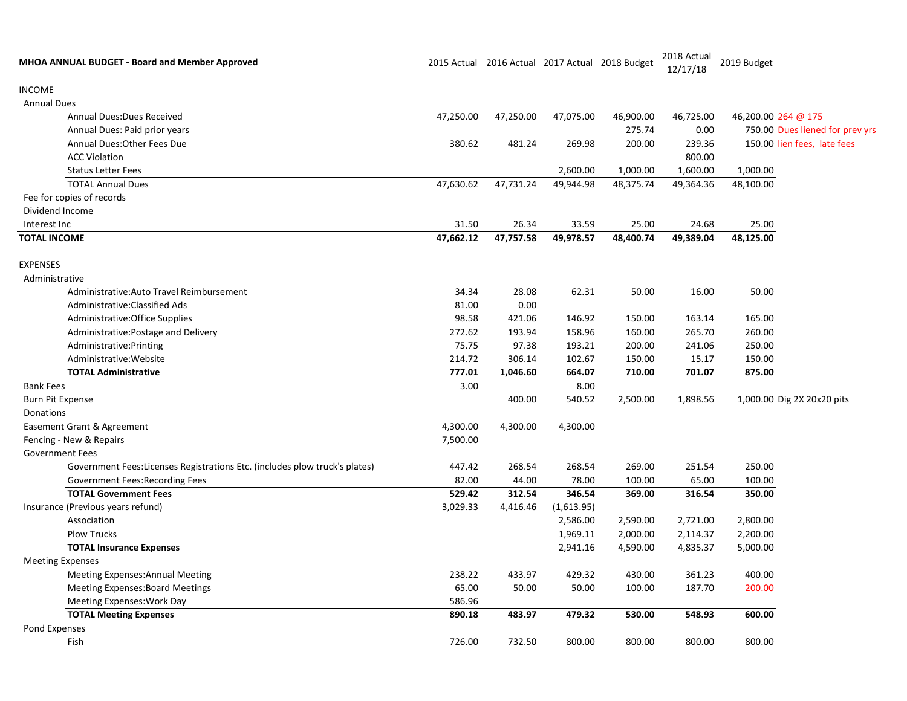| <b>MHOA ANNUAL BUDGET - Board and Member Approved</b>                      |           |           |            | 2015 Actual 2016 Actual 2017 Actual 2018 Budget | 2018 Actual<br>12/17/18 | 2019 Budget                     |                            |
|----------------------------------------------------------------------------|-----------|-----------|------------|-------------------------------------------------|-------------------------|---------------------------------|----------------------------|
| <b>INCOME</b>                                                              |           |           |            |                                                 |                         |                                 |                            |
| <b>Annual Dues</b>                                                         |           |           |            |                                                 |                         |                                 |                            |
| Annual Dues: Dues Received                                                 | 47,250.00 | 47,250.00 | 47,075.00  | 46,900.00                                       | 46,725.00               | 46,200.00 264 @ 175             |                            |
| Annual Dues: Paid prior years                                              |           |           |            | 275.74                                          | 0.00                    | 750.00 Dues liened for prev yrs |                            |
| Annual Dues: Other Fees Due                                                | 380.62    | 481.24    | 269.98     | 200.00                                          | 239.36                  | 150.00 lien fees, late fees     |                            |
| <b>ACC Violation</b>                                                       |           |           |            |                                                 | 800.00                  |                                 |                            |
| <b>Status Letter Fees</b>                                                  |           |           | 2,600.00   | 1,000.00                                        | 1,600.00                | 1,000.00                        |                            |
| <b>TOTAL Annual Dues</b>                                                   | 47,630.62 | 47,731.24 | 49,944.98  | 48,375.74                                       | 49,364.36               | 48,100.00                       |                            |
| Fee for copies of records                                                  |           |           |            |                                                 |                         |                                 |                            |
| Dividend Income                                                            |           |           |            |                                                 |                         |                                 |                            |
| Interest Inc                                                               | 31.50     | 26.34     | 33.59      | 25.00                                           | 24.68                   | 25.00                           |                            |
| <b>TOTAL INCOME</b>                                                        | 47,662.12 | 47,757.58 | 49,978.57  | 48,400.74                                       | 49,389.04               | 48,125.00                       |                            |
| <b>EXPENSES</b>                                                            |           |           |            |                                                 |                         |                                 |                            |
| Administrative                                                             |           |           |            |                                                 |                         |                                 |                            |
| Administrative: Auto Travel Reimbursement                                  | 34.34     | 28.08     | 62.31      | 50.00                                           | 16.00                   | 50.00                           |                            |
| Administrative: Classified Ads                                             | 81.00     | 0.00      |            |                                                 |                         |                                 |                            |
| Administrative: Office Supplies                                            | 98.58     | 421.06    | 146.92     | 150.00                                          | 163.14                  | 165.00                          |                            |
| Administrative: Postage and Delivery                                       | 272.62    | 193.94    | 158.96     | 160.00                                          | 265.70                  | 260.00                          |                            |
| Administrative: Printing                                                   | 75.75     | 97.38     | 193.21     | 200.00                                          | 241.06                  | 250.00                          |                            |
| Administrative: Website                                                    | 214.72    | 306.14    | 102.67     | 150.00                                          | 15.17                   | 150.00                          |                            |
| <b>TOTAL Administrative</b>                                                | 777.01    | 1,046.60  | 664.07     | 710.00                                          | 701.07                  | 875.00                          |                            |
| <b>Bank Fees</b>                                                           | 3.00      |           | 8.00       |                                                 |                         |                                 |                            |
| <b>Burn Pit Expense</b>                                                    |           | 400.00    | 540.52     | 2,500.00                                        | 1,898.56                |                                 | 1,000.00 Dig 2X 20x20 pits |
| Donations                                                                  |           |           |            |                                                 |                         |                                 |                            |
| Easement Grant & Agreement                                                 | 4,300.00  | 4,300.00  | 4,300.00   |                                                 |                         |                                 |                            |
| Fencing - New & Repairs                                                    | 7,500.00  |           |            |                                                 |                         |                                 |                            |
| <b>Government Fees</b>                                                     |           |           |            |                                                 |                         |                                 |                            |
| Government Fees:Licenses Registrations Etc. (includes plow truck's plates) | 447.42    | 268.54    | 268.54     | 269.00                                          | 251.54                  | 250.00                          |                            |
| Government Fees: Recording Fees                                            | 82.00     | 44.00     | 78.00      | 100.00                                          | 65.00                   | 100.00                          |                            |
| <b>TOTAL Government Fees</b>                                               | 529.42    | 312.54    | 346.54     | 369.00                                          | 316.54                  | 350.00                          |                            |
| Insurance (Previous years refund)                                          | 3,029.33  | 4,416.46  | (1,613.95) |                                                 |                         |                                 |                            |
| Association                                                                |           |           | 2,586.00   | 2,590.00                                        | 2,721.00                | 2,800.00                        |                            |
| <b>Plow Trucks</b>                                                         |           |           | 1,969.11   | 2,000.00                                        | 2,114.37                | 2,200.00                        |                            |
| <b>TOTAL Insurance Expenses</b>                                            |           |           | 2,941.16   | 4,590.00                                        | 4,835.37                | 5,000.00                        |                            |
| <b>Meeting Expenses</b>                                                    |           |           |            |                                                 |                         |                                 |                            |
| <b>Meeting Expenses: Annual Meeting</b>                                    | 238.22    | 433.97    | 429.32     | 430.00                                          | 361.23                  | 400.00                          |                            |
| <b>Meeting Expenses: Board Meetings</b>                                    | 65.00     | 50.00     | 50.00      | 100.00                                          | 187.70                  | 200.00                          |                            |
| Meeting Expenses: Work Day                                                 | 586.96    |           |            |                                                 |                         |                                 |                            |
| <b>TOTAL Meeting Expenses</b>                                              | 890.18    | 483.97    | 479.32     | 530.00                                          | 548.93                  | 600.00                          |                            |
| Pond Expenses                                                              |           |           |            |                                                 |                         |                                 |                            |
| Fish                                                                       | 726.00    | 732.50    | 800.00     | 800.00                                          | 800.00                  | 800.00                          |                            |